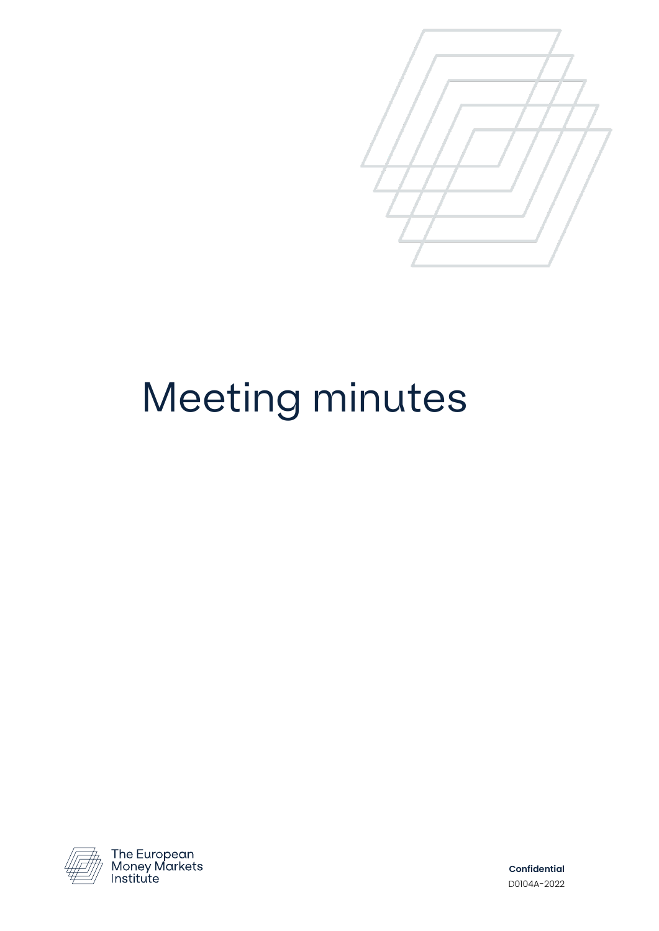

## Meeting minutes



The European<br>Money Markets<br>Institute

**Confidential**  D0104A-2022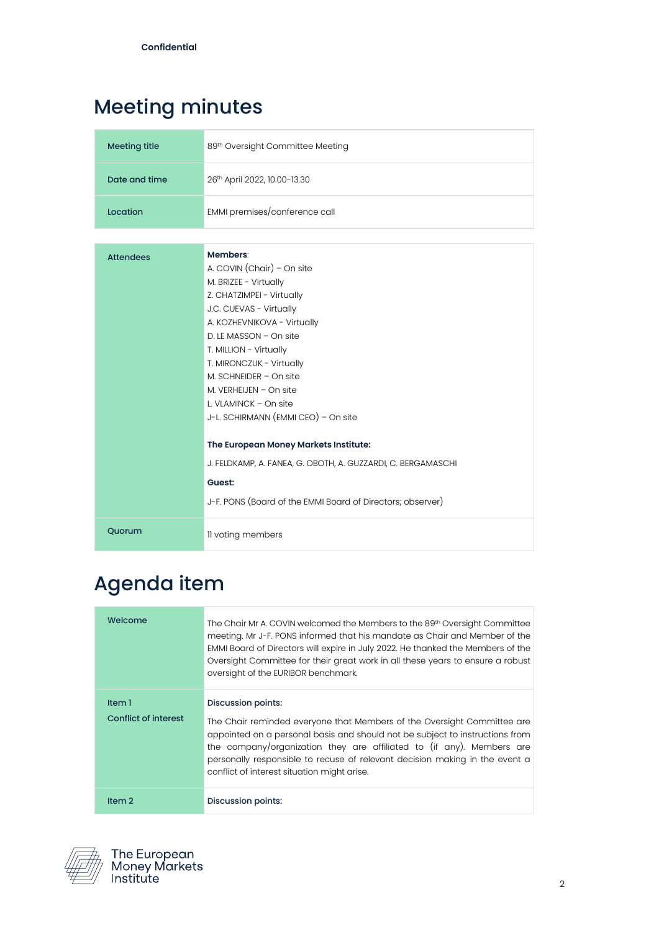## Meeting minutes

| <b>Meeting title</b> | 89th Oversight Committee Meeting                                                                                                                                                                                                                                                                                                                               |
|----------------------|----------------------------------------------------------------------------------------------------------------------------------------------------------------------------------------------------------------------------------------------------------------------------------------------------------------------------------------------------------------|
| Date and time        | 26th April 2022, 10.00-13.30                                                                                                                                                                                                                                                                                                                                   |
| Location             | EMMI premises/conference call                                                                                                                                                                                                                                                                                                                                  |
|                      |                                                                                                                                                                                                                                                                                                                                                                |
| <b>Attendees</b>     | Members:<br>A. COVIN (Chair) - On site<br>M. BRIZEE - Virtually<br>Z. CHATZIMPEI - Virtually<br>J.C. CUEVAS - Virtually<br>A. KOZHEVNIKOVA - Virtually<br>D. LE MASSON - On site<br>T. MILLION - Virtually<br>T. MIRONCZUK - Virtually<br>M. SCHNEIDER $-$ On site<br>M. VERHEIJEN $-$ On site<br>L. VLAMINCK - On site<br>J-L. SCHIRMANN (EMMI CEO) - On site |
|                      | The European Money Markets Institute:                                                                                                                                                                                                                                                                                                                          |
|                      | J. FELDKAMP, A. FANEA, G. OBOTH, A. GUZZARDI, C. BERGAMASCHI                                                                                                                                                                                                                                                                                                   |
|                      | Guest:                                                                                                                                                                                                                                                                                                                                                         |
|                      | J-F. PONS (Board of the EMMI Board of Directors; observer)                                                                                                                                                                                                                                                                                                     |
| Quorum               | Il voting members                                                                                                                                                                                                                                                                                                                                              |

## Agenda item

| Welcome                               | The Chair Mr A. COVIN welcomed the Members to the 89 <sup>th</sup> Oversight Committee<br>meeting. Mr J-F. PONS informed that his mandate as Chair and Member of the<br>EMMI Board of Directors will expire in July 2022. He thanked the Members of the<br>Oversight Committee for their great work in all these years to ensure a robust<br>oversight of the EURIBOR benchmark.     |
|---------------------------------------|--------------------------------------------------------------------------------------------------------------------------------------------------------------------------------------------------------------------------------------------------------------------------------------------------------------------------------------------------------------------------------------|
| Item 1<br><b>Conflict of interest</b> | Discussion points:<br>The Chair reminded everyone that Members of the Oversight Committee are<br>appointed on a personal basis and should not be subject to instructions from<br>the company/organization they are affiliated to (if any). Members are<br>personally responsible to recuse of relevant decision making in the event a<br>conflict of interest situation might arise. |
| Item <sub>2</sub>                     | Discussion points:                                                                                                                                                                                                                                                                                                                                                                   |

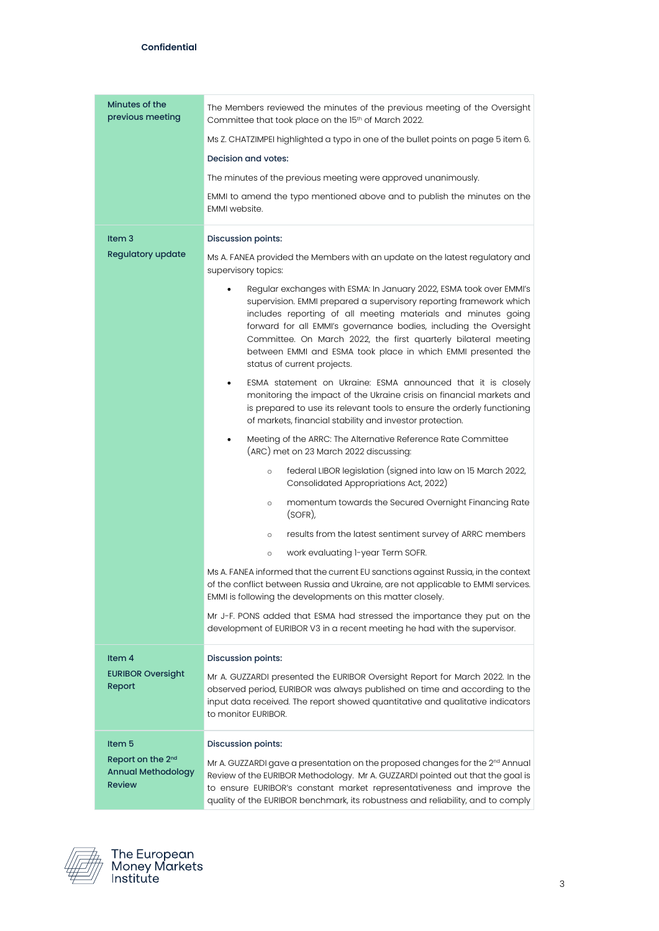| Minutes of the<br>previous meeting                                          | The Members reviewed the minutes of the previous meeting of the Oversight<br>Committee that took place on the 15th of March 2022.                                                                                                                                                                                                                                                                                                                 |
|-----------------------------------------------------------------------------|---------------------------------------------------------------------------------------------------------------------------------------------------------------------------------------------------------------------------------------------------------------------------------------------------------------------------------------------------------------------------------------------------------------------------------------------------|
|                                                                             | Ms Z. CHATZIMPEI highlighted a typo in one of the bullet points on page 5 item 6.                                                                                                                                                                                                                                                                                                                                                                 |
|                                                                             | Decision and votes:                                                                                                                                                                                                                                                                                                                                                                                                                               |
|                                                                             | The minutes of the previous meeting were approved unanimously.                                                                                                                                                                                                                                                                                                                                                                                    |
|                                                                             | EMMI to amend the typo mentioned above and to publish the minutes on the<br>EMMI website.                                                                                                                                                                                                                                                                                                                                                         |
| Item <sub>3</sub>                                                           | <b>Discussion points:</b>                                                                                                                                                                                                                                                                                                                                                                                                                         |
| <b>Regulatory update</b>                                                    | Ms A. FANEA provided the Members with an update on the latest regulatory and<br>supervisory topics:                                                                                                                                                                                                                                                                                                                                               |
|                                                                             | Regular exchanges with ESMA: In January 2022, ESMA took over EMMI's<br>supervision. EMMI prepared a supervisory reporting framework which<br>includes reporting of all meeting materials and minutes going<br>forward for all EMMI's governance bodies, including the Oversight<br>Committee. On March 2022, the first quarterly bilateral meeting<br>between EMMI and ESMA took place in which EMMI presented the<br>status of current projects. |
|                                                                             | ESMA statement on Ukraine: ESMA announced that it is closely<br>monitoring the impact of the Ukraine crisis on financial markets and<br>is prepared to use its relevant tools to ensure the orderly functioning<br>of markets, financial stability and investor protection.                                                                                                                                                                       |
|                                                                             | Meeting of the ARRC: The Alternative Reference Rate Committee<br>(ARC) met on 23 March 2022 discussing:                                                                                                                                                                                                                                                                                                                                           |
|                                                                             | federal LIBOR legislation (signed into law on 15 March 2022,<br>$\circ$<br>Consolidated Appropriations Act, 2022)                                                                                                                                                                                                                                                                                                                                 |
|                                                                             | momentum towards the Secured Overnight Financing Rate<br>$\circ$<br>(SOFR)                                                                                                                                                                                                                                                                                                                                                                        |
|                                                                             | results from the latest sentiment survey of ARRC members<br>$\circ$                                                                                                                                                                                                                                                                                                                                                                               |
|                                                                             | work evaluating 1-year Term SOFR.<br>$\circ$                                                                                                                                                                                                                                                                                                                                                                                                      |
|                                                                             | Ms A. FANEA informed that the current EU sanctions against Russia, in the context<br>of the conflict between Russia and Ukraine, are not applicable to EMMI services.<br>EMMI is following the developments on this matter closely.                                                                                                                                                                                                               |
|                                                                             | Mr J-F. PONS added that ESMA had stressed the importance they put on the<br>development of EURIBOR V3 in a recent meeting he had with the supervisor.                                                                                                                                                                                                                                                                                             |
| Item 4                                                                      | <b>Discussion points:</b>                                                                                                                                                                                                                                                                                                                                                                                                                         |
| <b>EURIBOR Oversight</b><br>Report                                          | Mr A. GUZZARDI presented the EURIBOR Oversight Report for March 2022. In the<br>observed period, EURIBOR was always published on time and according to the<br>input data received. The report showed quantitative and qualitative indicators<br>to monitor EURIBOR.                                                                                                                                                                               |
| Item 5                                                                      | <b>Discussion points:</b>                                                                                                                                                                                                                                                                                                                                                                                                                         |
| Report on the 2 <sup>nd</sup><br><b>Annual Methodology</b><br><b>Review</b> | Mr A. GUZZARDI gave a presentation on the proposed changes for the $2nd$ Annual<br>Review of the EURIBOR Methodology. Mr A. GUZZARDI pointed out that the goal is<br>to ensure EURIBOR's constant market representativeness and improve the<br>quality of the EURIBOR benchmark, its robustness and reliability, and to comply                                                                                                                    |

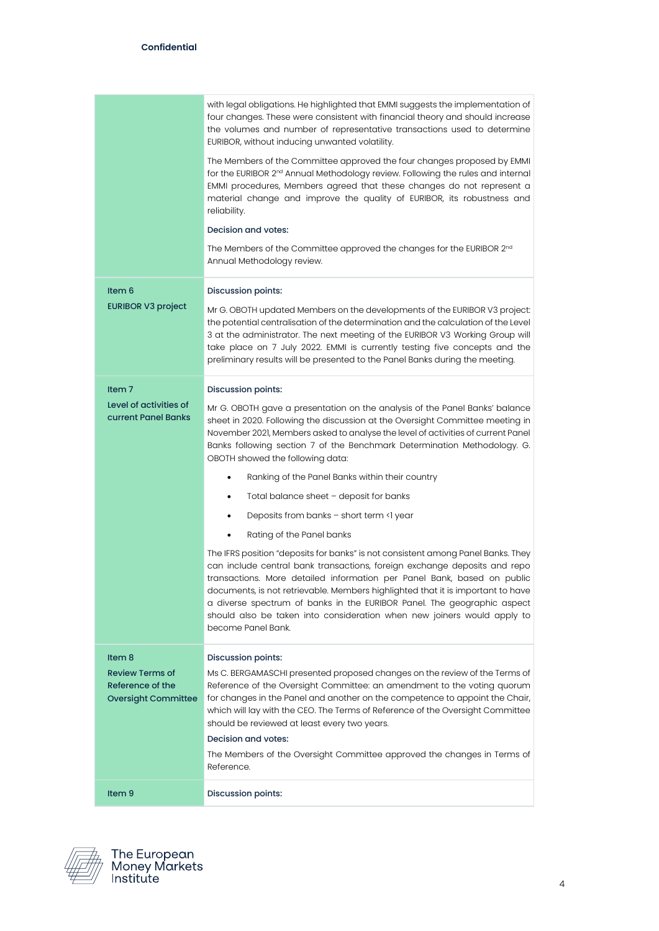|                                                                          | with legal obligations. He highlighted that EMMI suggests the implementation of<br>four changes. These were consistent with financial theory and should increase<br>the volumes and number of representative transactions used to determine<br>EURIBOR, without inducing unwanted volatility.                                                                                                                                                                                                           |
|--------------------------------------------------------------------------|---------------------------------------------------------------------------------------------------------------------------------------------------------------------------------------------------------------------------------------------------------------------------------------------------------------------------------------------------------------------------------------------------------------------------------------------------------------------------------------------------------|
|                                                                          | The Members of the Committee approved the four changes proposed by EMMI<br>for the EURIBOR 2 <sup>nd</sup> Annual Methodology review. Following the rules and internal<br>EMMI procedures, Members agreed that these changes do not represent a<br>material change and improve the quality of EURIBOR, its robustness and<br>reliability.                                                                                                                                                               |
|                                                                          | Decision and votes:                                                                                                                                                                                                                                                                                                                                                                                                                                                                                     |
|                                                                          | The Members of the Committee approved the changes for the EURIBOR 2 <sup>nd</sup><br>Annual Methodology review.                                                                                                                                                                                                                                                                                                                                                                                         |
| Item 6                                                                   | Discussion points:                                                                                                                                                                                                                                                                                                                                                                                                                                                                                      |
| <b>EURIBOR V3 project</b>                                                | Mr G. OBOTH updated Members on the developments of the EURIBOR V3 project:<br>the potential centralisation of the determination and the calculation of the Level<br>3 at the administrator. The next meeting of the EURIBOR V3 Working Group will<br>take place on 7 July 2022. EMMI is currently testing five concepts and the<br>preliminary results will be presented to the Panel Banks during the meeting.                                                                                         |
| Item <sub>7</sub>                                                        | <b>Discussion points:</b>                                                                                                                                                                                                                                                                                                                                                                                                                                                                               |
| Level of activities of<br>current Panel Banks                            | Mr G. OBOTH gave a presentation on the analysis of the Panel Banks' balance<br>sheet in 2020. Following the discussion at the Oversight Committee meeting in<br>November 2021, Members asked to analyse the level of activities of current Panel<br>Banks following section 7 of the Benchmark Determination Methodology. G.<br>OBOTH showed the following data:                                                                                                                                        |
|                                                                          | Ranking of the Panel Banks within their country                                                                                                                                                                                                                                                                                                                                                                                                                                                         |
|                                                                          | Total balance sheet - deposit for banks<br>٠                                                                                                                                                                                                                                                                                                                                                                                                                                                            |
|                                                                          | Deposits from banks - short term <1 year<br>٠                                                                                                                                                                                                                                                                                                                                                                                                                                                           |
|                                                                          | Rating of the Panel banks<br>٠                                                                                                                                                                                                                                                                                                                                                                                                                                                                          |
|                                                                          | The IFRS position "deposits for banks" is not consistent among Panel Banks. They<br>can include central bank transactions, foreign exchange deposits and repo<br>transactions. More detailed information per Panel Bank, based on public<br>documents, is not retrievable. Members highlighted that it is important to have<br>a diverse spectrum of banks in the EURIBOR Panel. The geographic aspect<br>should also be taken into consideration when new joiners would apply to<br>become Panel Bank. |
| Item 8                                                                   | <b>Discussion points:</b>                                                                                                                                                                                                                                                                                                                                                                                                                                                                               |
| <b>Review Terms of</b><br>Reference of the<br><b>Oversight Committee</b> | Ms C. BERGAMASCHI presented proposed changes on the review of the Terms of<br>Reference of the Oversight Committee: an amendment to the voting quorum<br>for changes in the Panel and another on the competence to appoint the Chair,<br>which will lay with the CEO. The Terms of Reference of the Oversight Committee<br>should be reviewed at least every two years.<br>Decision and votes:                                                                                                          |
|                                                                          | The Members of the Oversight Committee approved the changes in Terms of<br>Reference.                                                                                                                                                                                                                                                                                                                                                                                                                   |
| Item 9                                                                   | Discussion points:                                                                                                                                                                                                                                                                                                                                                                                                                                                                                      |